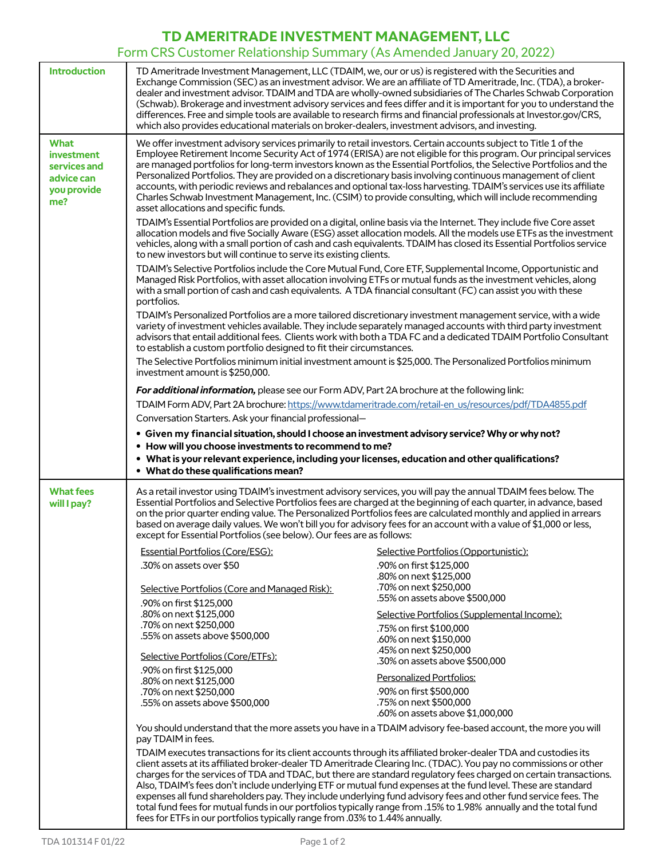## **TD AMERITRADE INVESTMENT MANAGEMENT, LLC**

## Form CRS Customer Relationship Summary (As Amended January 20, 2022)

| <b>Introduction</b>                                                                  | TD Ameritrade Investment Management, LLC (TDAIM, we, our or us) is registered with the Securities and<br>which also provides educational materials on broker-dealers, investment advisors, and investing.                                                                                                                                                                                                                                                                                                                                                                                                                                                                                                                                                                                         | Exchange Commission (SEC) as an investment advisor. We are an affiliate of TD Ameritrade, Inc. (TDA), a broker-<br>dealer and investment advisor. TDAIM and TDA are wholly-owned subsidiaries of The Charles Schwab Corporation<br>(Schwab). Brokerage and investment advisory services and fees differ and it is important for you to understand the<br>differences. Free and simple tools are available to research firms and financial professionals at Investor.gov/CRS, |  |
|--------------------------------------------------------------------------------------|---------------------------------------------------------------------------------------------------------------------------------------------------------------------------------------------------------------------------------------------------------------------------------------------------------------------------------------------------------------------------------------------------------------------------------------------------------------------------------------------------------------------------------------------------------------------------------------------------------------------------------------------------------------------------------------------------------------------------------------------------------------------------------------------------|------------------------------------------------------------------------------------------------------------------------------------------------------------------------------------------------------------------------------------------------------------------------------------------------------------------------------------------------------------------------------------------------------------------------------------------------------------------------------|--|
| <b>What</b><br><i>investment</i><br>services and<br>advice can<br>you provide<br>me? | We offer investment advisory services primarily to retail investors. Certain accounts subject to Title 1 of the<br>Employee Retirement Income Security Act of 1974 (ERISA) are not eligible for this program. Our principal services<br>are managed portfolios for long-term investors known as the Essential Portfolios, the Selective Portfolios and the<br>Personalized Portfolios. They are provided on a discretionary basis involving continuous management of client<br>accounts, with periodic reviews and rebalances and optional tax-loss harvesting. TDAIM's services use its affiliate<br>Charles Schwab Investment Management, Inc. (CSIM) to provide consulting, which will include recommending<br>asset allocations and specific funds.                                           |                                                                                                                                                                                                                                                                                                                                                                                                                                                                              |  |
|                                                                                      | TDAIM's Essential Portfolios are provided on a digital, online basis via the Internet. They include five Core asset<br>allocation models and five Socially Aware (ESG) asset allocation models. All the models use ETFs as the investment<br>vehicles, along with a small portion of cash and cash equivalents. TDAIM has closed its Essential Portfolios service<br>to new investors but will continue to serve its existing clients.                                                                                                                                                                                                                                                                                                                                                            |                                                                                                                                                                                                                                                                                                                                                                                                                                                                              |  |
|                                                                                      | TDAIM's Selective Portfolios include the Core Mutual Fund, Core ETF, Supplemental Income, Opportunistic and<br>Managed Risk Portfolios, with asset allocation involving ETFs or mutual funds as the investment vehicles, along<br>with a small portion of cash and cash equivalents. A TDA financial consultant (FC) can assist you with these<br>portfolios.                                                                                                                                                                                                                                                                                                                                                                                                                                     |                                                                                                                                                                                                                                                                                                                                                                                                                                                                              |  |
|                                                                                      | TDAIM's Personalized Portfolios are a more tailored discretionary investment management service, with a wide<br>variety of investment vehicles available. They include separately managed accounts with third party investment<br>advisors that entail additional fees. Clients work with both a TDA FC and a dedicated TDAIM Portfolio Consultant<br>to establish a custom portfolio designed to fit their circumstances.                                                                                                                                                                                                                                                                                                                                                                        |                                                                                                                                                                                                                                                                                                                                                                                                                                                                              |  |
|                                                                                      | The Selective Portfolios minimum initial investment amount is \$25,000. The Personalized Portfolios minimum<br>investment amount is \$250,000.                                                                                                                                                                                                                                                                                                                                                                                                                                                                                                                                                                                                                                                    |                                                                                                                                                                                                                                                                                                                                                                                                                                                                              |  |
|                                                                                      | For additional information, please see our Form ADV, Part 2A brochure at the following link:                                                                                                                                                                                                                                                                                                                                                                                                                                                                                                                                                                                                                                                                                                      |                                                                                                                                                                                                                                                                                                                                                                                                                                                                              |  |
|                                                                                      | TDAIM Form ADV, Part 2A brochure: https://www.tdameritrade.com/retail-en_us/resources/pdf/TDA4855.pdf                                                                                                                                                                                                                                                                                                                                                                                                                                                                                                                                                                                                                                                                                             |                                                                                                                                                                                                                                                                                                                                                                                                                                                                              |  |
|                                                                                      | Conversation Starters. Ask your financial professional-                                                                                                                                                                                                                                                                                                                                                                                                                                                                                                                                                                                                                                                                                                                                           |                                                                                                                                                                                                                                                                                                                                                                                                                                                                              |  |
|                                                                                      | . Given my financial situation, should I choose an investment advisory service? Why or why not?                                                                                                                                                                                                                                                                                                                                                                                                                                                                                                                                                                                                                                                                                                   |                                                                                                                                                                                                                                                                                                                                                                                                                                                                              |  |
|                                                                                      | • How will you choose investments to recommend to me?                                                                                                                                                                                                                                                                                                                                                                                                                                                                                                                                                                                                                                                                                                                                             |                                                                                                                                                                                                                                                                                                                                                                                                                                                                              |  |
|                                                                                      | · What is your relevant experience, including your licenses, education and other qualifications?<br>• What do these qualifications mean?                                                                                                                                                                                                                                                                                                                                                                                                                                                                                                                                                                                                                                                          |                                                                                                                                                                                                                                                                                                                                                                                                                                                                              |  |
| <b>What fees</b><br>will I pay?                                                      | As a retail investor using TDAIM's investment advisory services, you will pay the annual TDAIM fees below. The<br>Essential Portfolios and Selective Portfolios fees are charged at the beginning of each quarter, in advance, based<br>on the prior quarter ending value. The Personalized Portfolios fees are calculated monthly and applied in arrears<br>based on average daily values. We won't bill you for advisory fees for an account with a value of \$1,000 or less,<br>except for Essential Portfolios (see below). Our fees are as follows:                                                                                                                                                                                                                                          |                                                                                                                                                                                                                                                                                                                                                                                                                                                                              |  |
|                                                                                      | <b>Essential Portfolios (Core/ESG):</b>                                                                                                                                                                                                                                                                                                                                                                                                                                                                                                                                                                                                                                                                                                                                                           | Selective Portfolios (Opportunistic):                                                                                                                                                                                                                                                                                                                                                                                                                                        |  |
|                                                                                      | .30% on assets over \$50                                                                                                                                                                                                                                                                                                                                                                                                                                                                                                                                                                                                                                                                                                                                                                          | .90% on first \$125,000                                                                                                                                                                                                                                                                                                                                                                                                                                                      |  |
|                                                                                      | Selective Portfolios (Core and Managed Risk):                                                                                                                                                                                                                                                                                                                                                                                                                                                                                                                                                                                                                                                                                                                                                     | .80% on next \$125,000<br>.70% on next \$250,000                                                                                                                                                                                                                                                                                                                                                                                                                             |  |
|                                                                                      | .90% on first \$125,000                                                                                                                                                                                                                                                                                                                                                                                                                                                                                                                                                                                                                                                                                                                                                                           | .55% on assets above \$500,000                                                                                                                                                                                                                                                                                                                                                                                                                                               |  |
|                                                                                      | .80% on next \$125,000                                                                                                                                                                                                                                                                                                                                                                                                                                                                                                                                                                                                                                                                                                                                                                            | Selective Portfolios (Supplemental Income):                                                                                                                                                                                                                                                                                                                                                                                                                                  |  |
|                                                                                      | .70% on next \$250,000<br>.55% on assets above \$500,000                                                                                                                                                                                                                                                                                                                                                                                                                                                                                                                                                                                                                                                                                                                                          | .75% on first \$100,000<br>.60% on next \$150,000                                                                                                                                                                                                                                                                                                                                                                                                                            |  |
|                                                                                      |                                                                                                                                                                                                                                                                                                                                                                                                                                                                                                                                                                                                                                                                                                                                                                                                   | .45% on next \$250,000                                                                                                                                                                                                                                                                                                                                                                                                                                                       |  |
|                                                                                      | Selective Portfolios (Core/ETFs):<br>.90% on first \$125,000                                                                                                                                                                                                                                                                                                                                                                                                                                                                                                                                                                                                                                                                                                                                      | .30% on assets above \$500,000                                                                                                                                                                                                                                                                                                                                                                                                                                               |  |
|                                                                                      | .80% on next \$125,000                                                                                                                                                                                                                                                                                                                                                                                                                                                                                                                                                                                                                                                                                                                                                                            | <b>Personalized Portfolios:</b>                                                                                                                                                                                                                                                                                                                                                                                                                                              |  |
|                                                                                      | .70% on next \$250,000<br>.55% on assets above \$500,000                                                                                                                                                                                                                                                                                                                                                                                                                                                                                                                                                                                                                                                                                                                                          | .90% on first \$500,000<br>.75% on next \$500,000<br>.60% on assets above \$1,000,000                                                                                                                                                                                                                                                                                                                                                                                        |  |
|                                                                                      | You should understand that the more assets you have in a TDAIM advisory fee-based account, the more you will<br>pay TDAIM in fees.                                                                                                                                                                                                                                                                                                                                                                                                                                                                                                                                                                                                                                                                |                                                                                                                                                                                                                                                                                                                                                                                                                                                                              |  |
|                                                                                      | TDAIM executes transactions for its client accounts through its affiliated broker-dealer TDA and custodies its<br>client assets at its affiliated broker-dealer TD Ameritrade Clearing Inc. (TDAC). You pay no commissions or other<br>charges for the services of TDA and TDAC, but there are standard regulatory fees charged on certain transactions.<br>Also, TDAIM's fees don't include underlying ETF or mutual fund expenses at the fund level. These are standard<br>expenses all fund shareholders pay. They include underlying fund advisory fees and other fund service fees. The<br>total fund fees for mutual funds in our portfolios typically range from .15% to 1.98% annually and the total fund<br>fees for ETFs in our portfolios typically range from .03% to 1.44% annually. |                                                                                                                                                                                                                                                                                                                                                                                                                                                                              |  |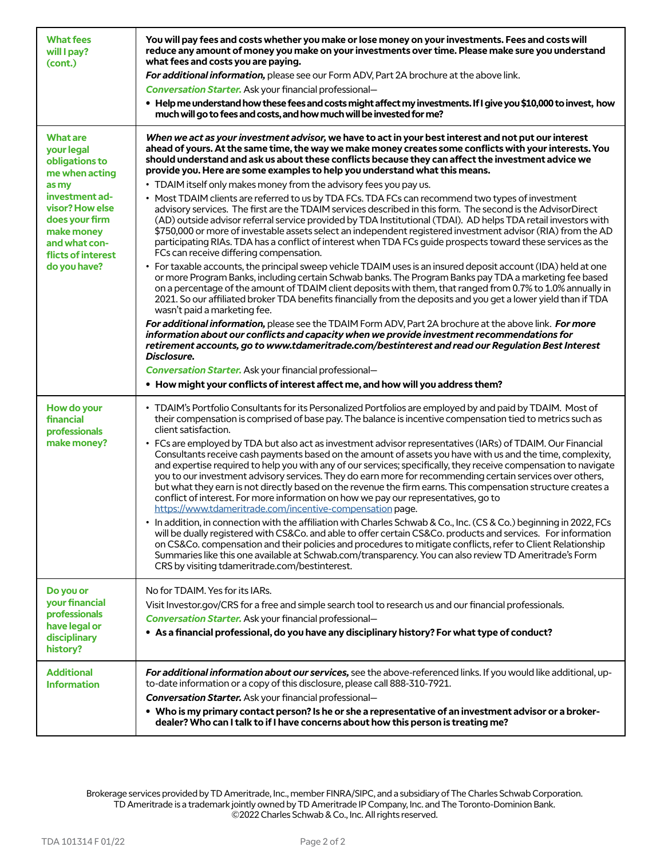| <b>What fees</b><br>will I pay?<br>(cont.)                                                                                                                                                             | You will pay fees and costs whether you make or lose money on your investments. Fees and costs will<br>reduce any amount of money you make on your investments over time. Please make sure you understand<br>what fees and costs you are paying.<br>For additional information, please see our Form ADV, Part 2A brochure at the above link.<br><b>Conversation Starter.</b> Ask your financial professional-<br>• Help me understand how these fees and costs might affect my investments. If I give you \$10,000 to invest, how<br>much will go to fees and costs, and how much will be invested for me?                                                                                                                                                                                                                                                                                                                                                                                                                                                                                                                                                                                                                                                                                                                                                                                                                                                                                                                                                                                                                                                                                                                                                                                                                                                                                                                                                                                                                                                               |  |
|--------------------------------------------------------------------------------------------------------------------------------------------------------------------------------------------------------|--------------------------------------------------------------------------------------------------------------------------------------------------------------------------------------------------------------------------------------------------------------------------------------------------------------------------------------------------------------------------------------------------------------------------------------------------------------------------------------------------------------------------------------------------------------------------------------------------------------------------------------------------------------------------------------------------------------------------------------------------------------------------------------------------------------------------------------------------------------------------------------------------------------------------------------------------------------------------------------------------------------------------------------------------------------------------------------------------------------------------------------------------------------------------------------------------------------------------------------------------------------------------------------------------------------------------------------------------------------------------------------------------------------------------------------------------------------------------------------------------------------------------------------------------------------------------------------------------------------------------------------------------------------------------------------------------------------------------------------------------------------------------------------------------------------------------------------------------------------------------------------------------------------------------------------------------------------------------------------------------------------------------------------------------------------------------|--|
| <b>What are</b><br>your legal<br>obligations to<br>me when acting<br>as my<br>investment ad-<br>visor? How else<br>does your firm<br>make money<br>and what con-<br>flicts of interest<br>do you have? | When we act as your investment advisor, we have to act in your best interest and not put our interest<br>ahead of yours. At the same time, the way we make money creates some conflicts with your interests. You<br>should understand and ask us about these conflicts because they can affect the investment advice we<br>provide you. Here are some examples to help you understand what this means.<br>• TDAIM itself only makes money from the advisory fees you pay us.<br>• Most TDAIM clients are referred to us by TDA FCs. TDA FCs can recommend two types of investment<br>advisory services. The first are the TDAIM services described in this form. The second is the AdvisorDirect<br>(AD) outside advisor referral service provided by TDA Institutional (TDAI). AD helps TDA retail investors with<br>\$750,000 or more of investable assets select an independent registered investment advisor (RIA) from the AD<br>participating RIAs. TDA has a conflict of interest when TDA FCs guide prospects toward these services as the<br>FCs can receive differing compensation.<br>• For taxable accounts, the principal sweep vehicle TDAIM uses is an insured deposit account (IDA) held at one<br>or more Program Banks, including certain Schwab banks. The Program Banks pay TDA a marketing fee based<br>on a percentage of the amount of TDAIM client deposits with them, that ranged from 0.7% to 1.0% annually in<br>2021. So our affiliated broker TDA benefits financially from the deposits and you get a lower yield than if TDA<br>wasn't paid a marketing fee.<br>For additional information, please see the TDAIM Form ADV, Part 2A brochure at the above link. For more<br>information about our conflicts and capacity when we provide investment recommendations for<br>retirement accounts, go to www.tdameritrade.com/bestinterest and read our Regulation Best Interest<br>Disclosure.<br>Conversation Starter. Ask your financial professional-<br>• How might your conflicts of interest affect me, and how will you address them? |  |
| How do your<br>financial<br>professionals<br>make money?                                                                                                                                               | • TDAIM's Portfolio Consultants for its Personalized Portfolios are employed by and paid by TDAIM. Most of<br>their compensation is comprised of base pay. The balance is incentive compensation tied to metrics such as<br>client satisfaction.<br>• FCs are employed by TDA but also act as investment advisor representatives (IARs) of TDAIM. Our Financial<br>Consultants receive cash payments based on the amount of assets you have with us and the time, complexity,<br>and expertise required to help you with any of our services; specifically, they receive compensation to navigate<br>you to our investment advisory services. They do earn more for recommending certain services over others,<br>but what they earn is not directly based on the revenue the firm earns. This compensation structure creates a<br>conflict of interest. For more information on how we pay our representatives, go to<br>https://www.tdameritrade.com/incentive-compensation page.<br>• In addition, in connection with the affiliation with Charles Schwab & Co., Inc. (CS & Co.) beginning in 2022, FCs<br>will be dually registered with CS&Co. and able to offer certain CS&Co. products and services. For information<br>on CS&Co. compensation and their policies and procedures to mitigate conflicts, refer to Client Relationship<br>Summaries like this one available at Schwab.com/transparency. You can also review TD Ameritrade's Form<br>CRS by visiting tdameritrade.com/bestinterest.                                                                                                                                                                                                                                                                                                                                                                                                                                                                                                                                                                  |  |
| Do you or<br>your financial<br>professionals<br>have legal or<br>disciplinary<br>history?                                                                                                              | No for TDAIM. Yes for its IARs.<br>Visit Investor.gov/CRS for a free and simple search tool to research us and our financial professionals.<br>Conversation Starter. Ask your financial professional-<br>• As a financial professional, do you have any disciplinary history? For what type of conduct?                                                                                                                                                                                                                                                                                                                                                                                                                                                                                                                                                                                                                                                                                                                                                                                                                                                                                                                                                                                                                                                                                                                                                                                                                                                                                                                                                                                                                                                                                                                                                                                                                                                                                                                                                                  |  |
| <b>Additional</b><br><b>Information</b>                                                                                                                                                                | For additional information about our services, see the above-referenced links. If you would like additional, up-<br>to-date information or a copy of this disclosure, please call 888-310-7921.<br>Conversation Starter. Ask your financial professional-<br>. Who is my primary contact person? Is he or she a representative of an investment advisor or a broker-<br>dealer? Who can I talk to if I have concerns about how this person is treating me?                                                                                                                                                                                                                                                                                                                                                                                                                                                                                                                                                                                                                                                                                                                                                                                                                                                                                                                                                                                                                                                                                                                                                                                                                                                                                                                                                                                                                                                                                                                                                                                                               |  |

Brokerage services provided by TD Ameritrade, Inc., member FINRA/SIPC, and a subsidiary of The Charles Schwab Corporation. TD Ameritrade is a trademark jointly owned by TD Ameritrade IP Company, Inc. and The Toronto-Dominion Bank. ©2022 Charles Schwab & Co., Inc. All rights reserved.